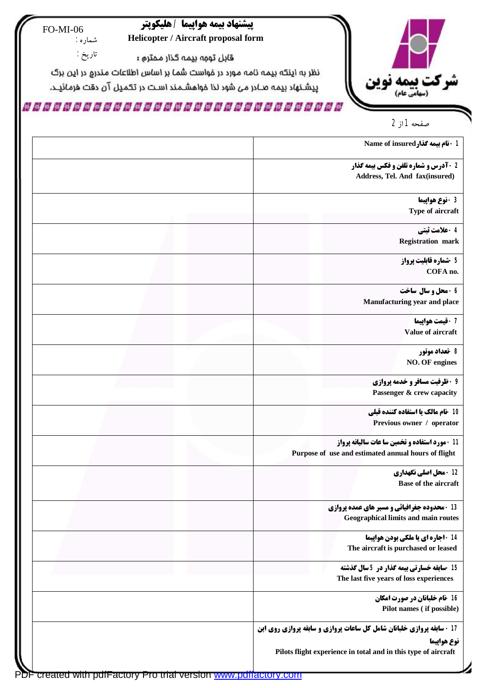

## **پیشنهاد بیمه هواپیما / هلیکوپتر Helicopter / Aircraft proposal form**

 FO-MI-06 شماره :

تاریخ :

قابل توجه بیمه کذار محترم **:** 

نظر به اینکه بیمه نامه مورد در فواست شما بر اساس اطلاعات مندرج در این برگ

ییشنهاد بیمه صــادر مـی شود لذا خواهشــمـند اسـت در تــدّـمـیل آن دقت خرمـائیــد.

## 

صفحه 1 از 2

| 1 - نام بيمه گذار Name of insured                                                                     |  |
|-------------------------------------------------------------------------------------------------------|--|
| 2 - آدرس و شماره تلفن و فکس بیمه گذار<br>Address, Tel. And fax(insured)                               |  |
| 3 - نوع هواپيما                                                                                       |  |
| Type of aircraft                                                                                      |  |
| 4 - علامت ثبتي<br><b>Registration mark</b>                                                            |  |
|                                                                                                       |  |
| 5 -شماره قابليت پرواز<br>COFA no.                                                                     |  |
| 6 - محل و سال ساخت                                                                                    |  |
| Manufacturing year and place                                                                          |  |
| 7 - قيمت هواپيما                                                                                      |  |
| Value of aircraft                                                                                     |  |
| 8 -تعداد موتور<br>NO. OF engines                                                                      |  |
| 9 - ظرفیت مسافر و خدمه پروازی                                                                         |  |
| Passenger & crew capacity                                                                             |  |
| 10 -نام مالك يا استفاده كننده قبلي                                                                    |  |
| Previous owner / operator                                                                             |  |
| 11 - مورد استفاده و تخمین سا عات سالیانه پرواز<br>Purpose of use and estimated annual hours of flight |  |
| 12 - محل اصلی نگهداری                                                                                 |  |
| <b>Base of the aircraft</b>                                                                           |  |
| 13 - محدوده جغرافیائی و مسیر های عمده پروازی<br>Geographical limits and main routes                   |  |
| 14 - اجاره ای یا ملکی بودن هواپیما                                                                    |  |
| The aircraft is purchased or leased                                                                   |  |
| 15 -سابقه خسارتي بيمه گذار در 5 سال گذشته                                                             |  |
| The last five years of loss experiences                                                               |  |
| 16 -نام خلبانان در صورت امکان<br>Pilot names (if possible)                                            |  |
| 17 - سابقه پروازی خلبانان شامل کل ساعات پروازی و سابقه پروازی روی این                                 |  |
| نوع هواپيما                                                                                           |  |
| Pilots flight experience in total and in this type of aircraft                                        |  |